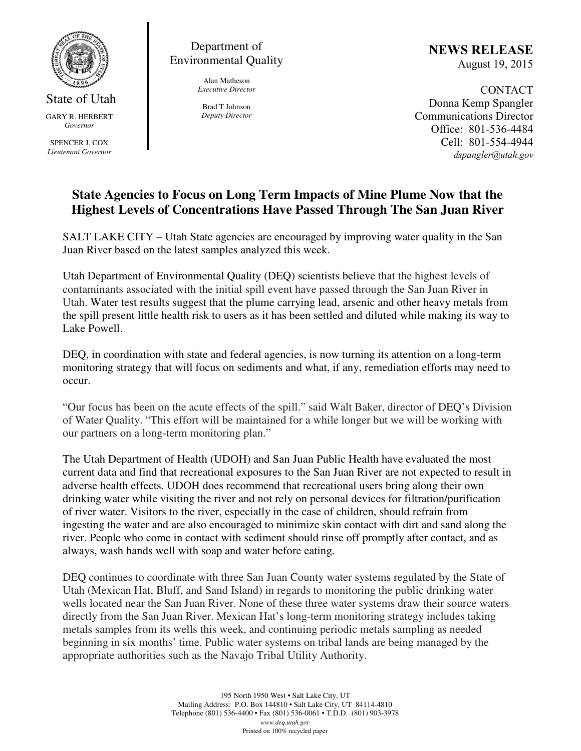

State of Utah GARY R. HERBERT *Governor* 

SPENCER J. COX *Lieutenant Governor* 

Department of Environmental Quality

> Alan Matheson *Executive Director*

Brad T Johnson *Deputy Director*  NEWS RELEASE August 19, 2015

CONTACT Donna Kemp Spangler Communications Director Office: 801-536-4484 Cell: 801-554-4944 dspangler@utah.gov

## **State Agencies to Focus on Long Term Impacts of Mine Plume Now that the Highest Levels of Concentrations Have Passed Through The San Juan River**

SALT LAKE CITY – Utah State agencies are encouraged by improving water quality in the San Juan River based on the latest samples analyzed this week.

Utah Department of Environmental Quality (DEQ) scientists believe that the highest levels of contaminants associated with the initial spill event have passed through the San Juan River in Utah. Water test results suggest that the plume carrying lead, arsenic and other heavy metals from the spill present little health risk to users as it has been settled and diluted while making its way to Lake Powell.

DEQ, in coordination with state and federal agencies, is now turning its attention on a long-term monitoring strategy that will focus on sediments and what, if any, remediation efforts may need to occur.

"Our focus has been on the acute effects of the spill." said Walt Baker, director of DEQ's Division of Water Quality. "This effort will be maintained for a while longer but we will be working with our partners on a long-term monitoring plan."

The Utah Department of Health (UDOH) and San Juan Public Health have evaluated the most current data and find that recreational exposures to the San Juan River are not expected to result in adverse health effects. UDOH does recommend that recreational users bring along their own drinking water while visiting the river and not rely on personal devices for filtration/purification of river water. Visitors to the river, especially in the case of children, should refrain from ingesting the water and are also encouraged to minimize skin contact with dirt and sand along the river. People who come in contact with sediment should rinse off promptly after contact, and as always, wash hands well with soap and water before eating.

DEQ continues to coordinate with three San Juan County water systems regulated by the State of Utah (Mexican Hat, Bluff, and Sand Island) in regards to monitoring the public drinking water wells located near the San Juan River. None of these three water systems draw their source waters directly from the San Juan River. Mexican Hat's long-term monitoring strategy includes taking metals samples from its wells this week, and continuing periodic metals sampling as needed beginning in six months' time. Public water systems on tribal lands are being managed by the appropriate authorities such as the Navajo Tribal Utility Authority.